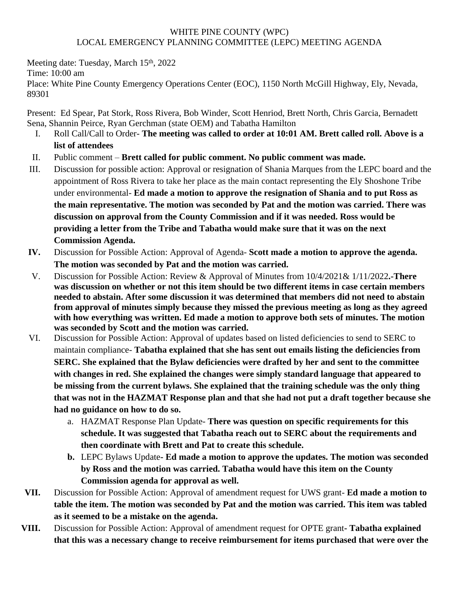## WHITE PINE COUNTY (WPC) LOCAL EMERGENCY PLANNING COMMITTEE (LEPC) MEETING AGENDA

Meeting date: Tuesday, March 15<sup>th</sup>, 2022

Time: 10:00 am

Place: White Pine County Emergency Operations Center (EOC), 1150 North McGill Highway, Ely, Nevada, 89301

Present: Ed Spear, Pat Stork, Ross Rivera, Bob Winder, Scott Henriod, Brett North, Chris Garcia, Bernadett Sena, Shannin Peirce, Ryan Gerchman (state OEM) and Tabatha Hamilton

- I. Roll Call/Call to Order- **The meeting was called to order at 10:01 AM. Brett called roll. Above is a list of attendees**
- II. Public comment **Brett called for public comment. No public comment was made.**
- III. Discussion for possible action: Approval or resignation of Shania Marques from the LEPC board and the appointment of Ross Rivera to take her place as the main contact representing the Ely Shoshone Tribe under environmental- **Ed made a motion to approve the resignation of Shania and to put Ross as the main representative. The motion was seconded by Pat and the motion was carried. There was discussion on approval from the County Commission and if it was needed. Ross would be providing a letter from the Tribe and Tabatha would make sure that it was on the next Commission Agenda.**
- **IV.** Discussion for Possible Action: Approval of Agenda- **Scott made a motion to approve the agenda. The motion was seconded by Pat and the motion was carried.**
- V. Discussion for Possible Action: Review & Approval of Minutes from 10/4/2021& 1/11/2022**.-There was discussion on whether or not this item should be two different items in case certain members needed to abstain. After some discussion it was determined that members did not need to abstain from approval of minutes simply because they missed the previous meeting as long as they agreed with how everything was written. Ed made a motion to approve both sets of minutes. The motion was seconded by Scott and the motion was carried.**
- VI. Discussion for Possible Action: Approval of updates based on listed deficiencies to send to SERC to maintain compliance- **Tabatha explained that she has sent out emails listing the deficiencies from SERC. She explained that the Bylaw deficiencies were drafted by her and sent to the committee with changes in red. She explained the changes were simply standard language that appeared to be missing from the current bylaws. She explained that the training schedule was the only thing that was not in the HAZMAT Response plan and that she had not put a draft together because she had no guidance on how to do so.** 
	- a. HAZMAT Response Plan Update- **There was question on specific requirements for this schedule. It was suggested that Tabatha reach out to SERC about the requirements and then coordinate with Brett and Pat to create this schedule.**
	- **b.** LEPC Bylaws Update **Ed made a motion to approve the updates. The motion was seconded by Ross and the motion was carried. Tabatha would have this item on the County Commission agenda for approval as well.**
- **VII.** Discussion for Possible Action: Approval of amendment request for UWS grant- **Ed made a motion to table the item. The motion was seconded by Pat and the motion was carried. This item was tabled as it seemed to be a mistake on the agenda.**
- **VIII.** Discussion for Possible Action: Approval of amendment request for OPTE grant **Tabatha explained that this was a necessary change to receive reimbursement for items purchased that were over the**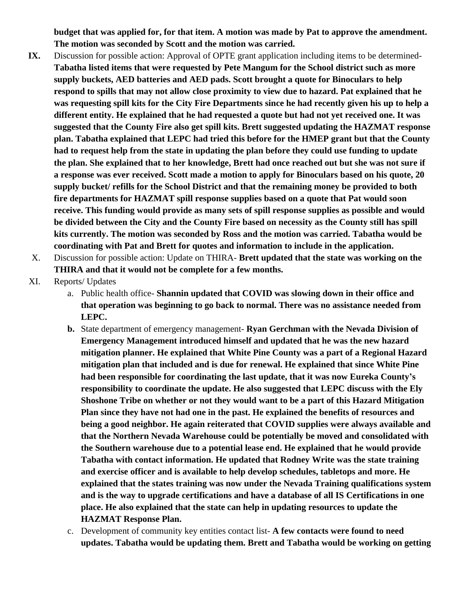**budget that was applied for, for that item. A motion was made by Pat to approve the amendment. The motion was seconded by Scott and the motion was carried.**

- **IX.** Discussion for possible action: Approval of OPTE grant application including items to be determined-**Tabatha listed items that were requested by Pete Mangum for the School district such as more supply buckets, AED batteries and AED pads. Scott brought a quote for Binoculars to help respond to spills that may not allow close proximity to view due to hazard. Pat explained that he was requesting spill kits for the City Fire Departments since he had recently given his up to help a different entity. He explained that he had requested a quote but had not yet received one. It was suggested that the County Fire also get spill kits. Brett suggested updating the HAZMAT response plan. Tabatha explained that LEPC had tried this before for the HMEP grant but that the County had to request help from the state in updating the plan before they could use funding to update the plan. She explained that to her knowledge, Brett had once reached out but she was not sure if a response was ever received. Scott made a motion to apply for Binoculars based on his quote, 20 supply bucket/ refills for the School District and that the remaining money be provided to both fire departments for HAZMAT spill response supplies based on a quote that Pat would soon receive. This funding would provide as many sets of spill response supplies as possible and would be divided between the City and the County Fire based on necessity as the County still has spill kits currently. The motion was seconded by Ross and the motion was carried. Tabatha would be coordinating with Pat and Brett for quotes and information to include in the application.**
- X. Discussion for possible action: Update on THIRA- **Brett updated that the state was working on the THIRA and that it would not be complete for a few months.**
- XI. Reports/ Updates
	- a. Public health office- **Shannin updated that COVID was slowing down in their office and that operation was beginning to go back to normal. There was no assistance needed from LEPC.**
	- **b.** State department of emergency management- **Ryan Gerchman with the Nevada Division of Emergency Management introduced himself and updated that he was the new hazard mitigation planner. He explained that White Pine County was a part of a Regional Hazard mitigation plan that included and is due for renewal. He explained that since White Pine had been responsible for coordinating the last update, that it was now Eureka County's responsibility to coordinate the update. He also suggested that LEPC discuss with the Ely Shoshone Tribe on whether or not they would want to be a part of this Hazard Mitigation Plan since they have not had one in the past. He explained the benefits of resources and being a good neighbor. He again reiterated that COVID supplies were always available and that the Northern Nevada Warehouse could be potentially be moved and consolidated with the Southern warehouse due to a potential lease end. He explained that he would provide Tabatha with contact information. He updated that Rodney Write was the state training and exercise officer and is available to help develop schedules, tabletops and more. He explained that the states training was now under the Nevada Training qualifications system and is the way to upgrade certifications and have a database of all IS Certifications in one place. He also explained that the state can help in updating resources to update the HAZMAT Response Plan.**
	- c. Development of community key entities contact list- **A few contacts were found to need updates. Tabatha would be updating them. Brett and Tabatha would be working on getting**